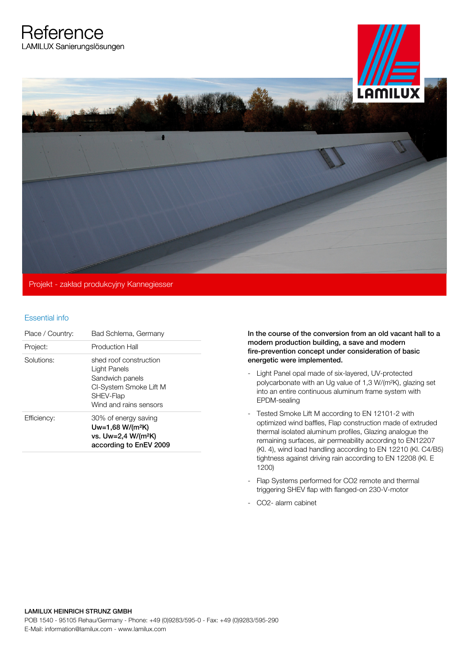**Reference** 



## Essential info

| Place / Country: | Bad Schlema, Germany                                                                                                       |
|------------------|----------------------------------------------------------------------------------------------------------------------------|
| Project:         | Production Hall                                                                                                            |
| Solutions:       | shed roof construction<br>Light Panels<br>Sandwich panels<br>CI-System Smoke Lift M<br>SHEV-Flap<br>Wind and rains sensors |
| Efficiency:      | 30% of energy saving<br>Uw=1,68 W/(m <sup>2</sup> K)<br>vs. Uw=2,4 W/(m <sup>2</sup> K)<br>according to EnEV 2009          |

In the course of the conversion from an old vacant hall to a modern production building, a save and modern fire-prevention concept under consideration of basic energetic were implemented.

- Light Panel opal made of six-layered, UV-protected polycarbonate with an Ug value of 1,3 W/(m²K), glazing set into an entire continuous aluminum frame system with EPDM-sealing
- Tested Smoke Lift M according to EN 12101-2 with optimized wind baffles, Flap construction made of extruded thermal isolated aluminum profiles, Glazing analogue the remaining surfaces, air permeability according to EN12207 (Kl. 4), wind load handling according to EN 12210 (Kl. C4/B5) tightness against driving rain according to EN 12208 (Kl. E 1200)
- Flap Systems performed for CO2 remote and thermal triggering SHEV flap with flanged-on 230-V-motor
- CO2- alarm cabinet